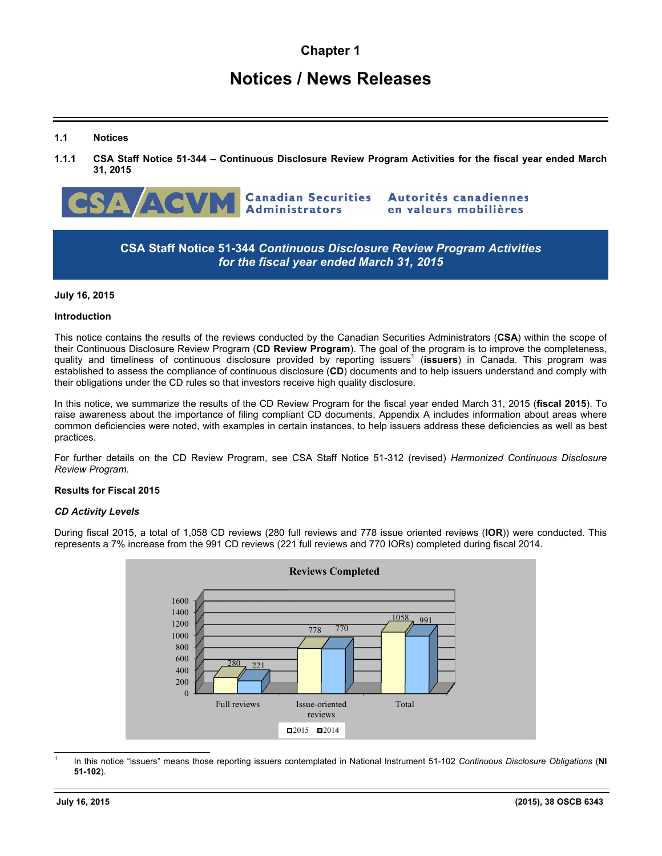# **Chapter 1**

# **Notices / News Releases**

# **1.1 Notices**

**1.1.1 CSA Staff Notice 51-344 – Continuous Disclosure Review Program Activities for the fiscal year ended March 31, 2015** 



Autorités canadiennes en valeurs mobilières

# **CSA Staff Notice 51-344** *Continuous Disclosure Review Program Activities for the fiscal year ended March 31, 2015*

# **July 16, 2015**

#### **Introduction**

This notice contains the results of the reviews conducted by the Canadian Securities Administrators (**CSA**) within the scope of their Continuous Disclosure Review Program (**CD Review Program**). The goal of the program is to improve the completeness, quality and timeliness of continuous disclosure provided by reporting issuers<sup>1</sup> (issuers) in Canada. This program was established to assess the compliance of continuous disclosure (**CD**) documents and to help issuers understand and comply with their obligations under the CD rules so that investors receive high quality disclosure.

In this notice, we summarize the results of the CD Review Program for the fiscal year ended March 31, 2015 (**fiscal 2015**). To raise awareness about the importance of filing compliant CD documents, Appendix A includes information about areas where common deficiencies were noted, with examples in certain instances, to help issuers address these deficiencies as well as best practices.

For further details on the CD Review Program, see CSA Staff Notice 51-312 (revised) *Harmonized Continuous Disclosure Review Program*.

#### **Results for Fiscal 2015**

#### *CD Activity Levels*





 $\overline{a}$ 1 In this notice "issuers" means those reporting issuers contemplated in National Instrument 51-102 *Continuous Disclosure Obligations* (**NI 51-102**).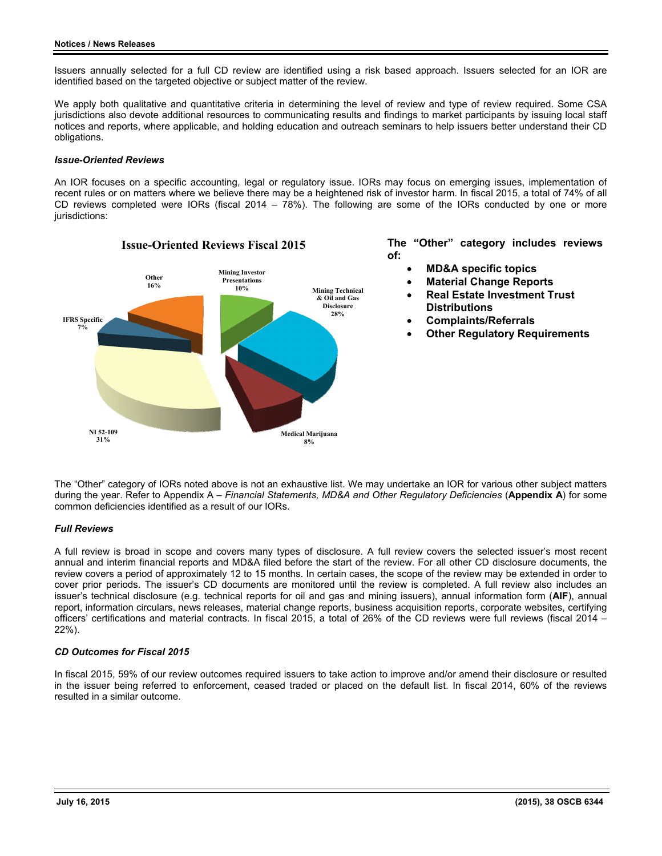Issuers annually selected for a full CD review are identified using a risk based approach. Issuers selected for an IOR are identified based on the targeted objective or subject matter of the review.

We apply both qualitative and quantitative criteria in determining the level of review and type of review required. Some CSA jurisdictions also devote additional resources to communicating results and findings to market participants by issuing local staff notices and reports, where applicable, and holding education and outreach seminars to help issuers better understand their CD obligations.

#### *Issue-Oriented Reviews*

An IOR focuses on a specific accounting, legal or regulatory issue. IORs may focus on emerging issues, implementation of recent rules or on matters where we believe there may be a heightened risk of investor harm. In fiscal 2015, a total of 74% of all CD reviews completed were IORs (fiscal 2014 – 78%). The following are some of the IORs conducted by one or more jurisdictions:



# **Issue-Oriented Reviews Fiscal 2015**

# **The "Other" category includes reviews of:**

- **MD&A specific topics**
- **Material Change Reports**
- **Real Estate Investment Trust Distributions**
- **Complaints/Referrals**
- **Other Regulatory Requirements**

The "Other" category of IORs noted above is not an exhaustive list. We may undertake an IOR for various other subject matters during the year. Refer to Appendix A – *Financial Statements, MD&A and Other Regulatory Deficiencies* (**Appendix A**) for some common deficiencies identified as a result of our IORs.

## *Full Reviews*

A full review is broad in scope and covers many types of disclosure. A full review covers the selected issuer's most recent annual and interim financial reports and MD&A filed before the start of the review. For all other CD disclosure documents, the review covers a period of approximately 12 to 15 months. In certain cases, the scope of the review may be extended in order to cover prior periods. The issuer's CD documents are monitored until the review is completed. A full review also includes an issuer's technical disclosure (e.g. technical reports for oil and gas and mining issuers), annual information form (**AIF**), annual report, information circulars, news releases, material change reports, business acquisition reports, corporate websites, certifying officers' certifications and material contracts. In fiscal 2015, a total of 26% of the CD reviews were full reviews (fiscal 2014 – 22%).

#### *CD Outcomes for Fiscal 2015*

In fiscal 2015, 59% of our review outcomes required issuers to take action to improve and/or amend their disclosure or resulted in the issuer being referred to enforcement, ceased traded or placed on the default list. In fiscal 2014, 60% of the reviews resulted in a similar outcome.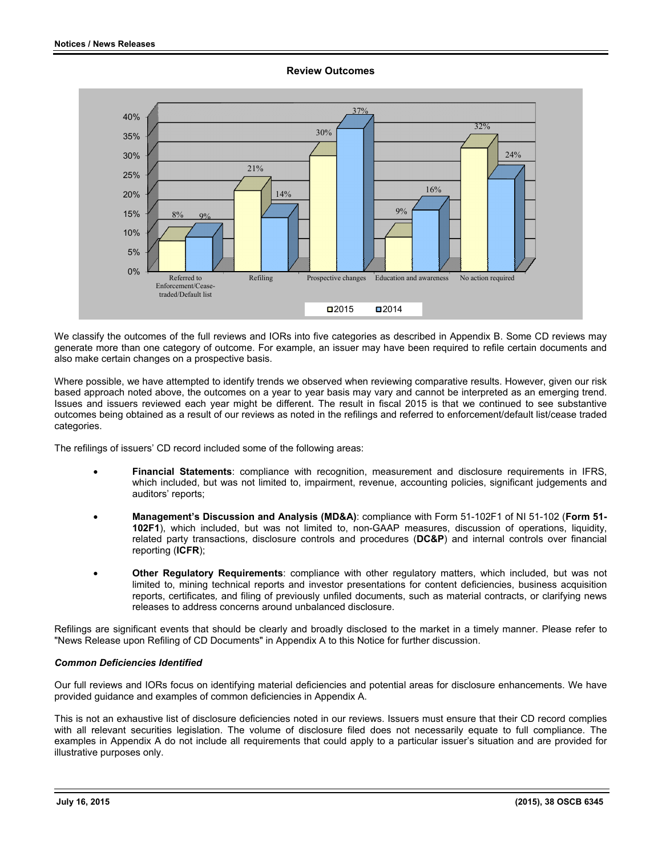# **Review Outcomes**



We classify the outcomes of the full reviews and IORs into five categories as described in Appendix B. Some CD reviews may generate more than one category of outcome. For example, an issuer may have been required to refile certain documents and also make certain changes on a prospective basis.

Where possible, we have attempted to identify trends we observed when reviewing comparative results. However, given our risk based approach noted above, the outcomes on a year to year basis may vary and cannot be interpreted as an emerging trend. Issues and issuers reviewed each year might be different. The result in fiscal 2015 is that we continued to see substantive outcomes being obtained as a result of our reviews as noted in the refilings and referred to enforcement/default list/cease traded categories.

The refilings of issuers' CD record included some of the following areas:

- **Financial Statements**: compliance with recognition, measurement and disclosure requirements in IFRS, which included, but was not limited to, impairment, revenue, accounting policies, significant judgements and auditors' reports;
- Management's Discussion and Analysis (MD&A): compliance with Form 51-102F1 of NI 51-102 (Form 51-**102F1**), which included, but was not limited to, non-GAAP measures, discussion of operations, liquidity, related party transactions, disclosure controls and procedures (**DC&P**) and internal controls over financial reporting (**ICFR**);
- **Other Regulatory Requirements**: compliance with other regulatory matters, which included, but was not limited to, mining technical reports and investor presentations for content deficiencies, business acquisition reports, certificates*,* and filing of previously unfiled documents, such as material contracts, or clarifying news releases to address concerns around unbalanced disclosure.

Refilings are significant events that should be clearly and broadly disclosed to the market in a timely manner. Please refer to "News Release upon Refiling of CD Documents" in Appendix A to this Notice for further discussion.

#### *Common Deficiencies Identified*

Our full reviews and IORs focus on identifying material deficiencies and potential areas for disclosure enhancements. We have provided guidance and examples of common deficiencies in Appendix A.

This is not an exhaustive list of disclosure deficiencies noted in our reviews. Issuers must ensure that their CD record complies with all relevant securities legislation. The volume of disclosure filed does not necessarily equate to full compliance. The examples in Appendix A do not include all requirements that could apply to a particular issuer's situation and are provided for illustrative purposes only.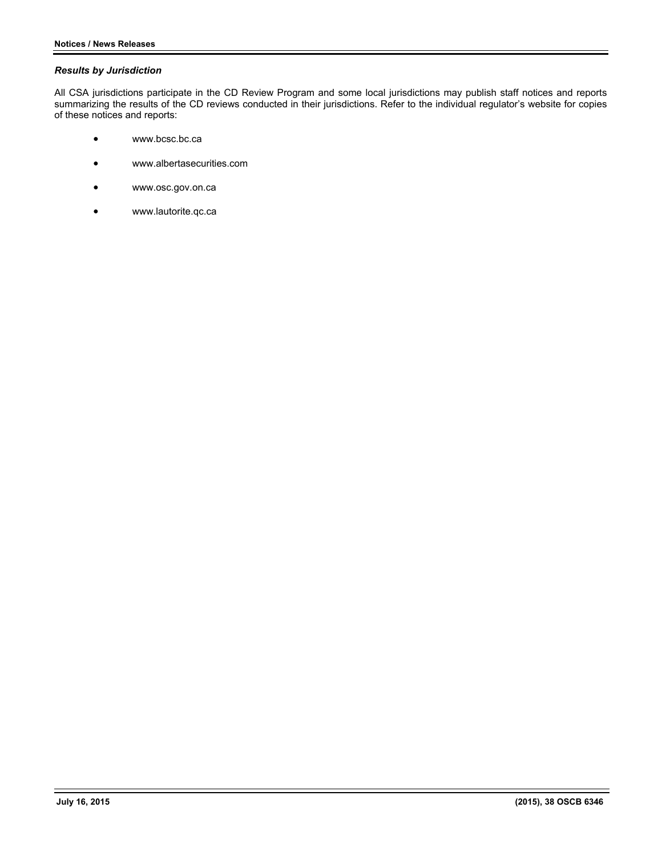# *Results by Jurisdiction*

All CSA jurisdictions participate in the CD Review Program and some local jurisdictions may publish staff notices and reports summarizing the results of the CD reviews conducted in their jurisdictions. Refer to the individual regulator's website for copies of these notices and reports:

- www.bcsc.bc.ca
- www.albertasecurities.com
- www.osc.gov.on.ca
- www.lautorite.qc.ca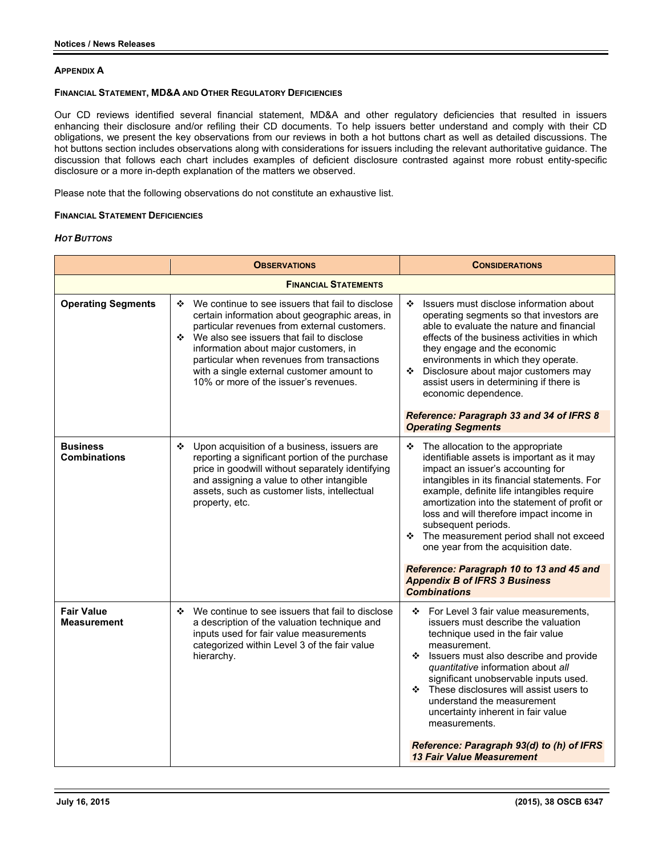#### **APPENDIX A**

#### **FINANCIAL STATEMENT, MD&A AND OTHER REGULATORY DEFICIENCIES**

Our CD reviews identified several financial statement, MD&A and other regulatory deficiencies that resulted in issuers enhancing their disclosure and/or refiling their CD documents. To help issuers better understand and comply with their CD obligations, we present the key observations from our reviews in both a hot buttons chart as well as detailed discussions. The hot buttons section includes observations along with considerations for issuers including the relevant authoritative guidance. The discussion that follows each chart includes examples of deficient disclosure contrasted against more robust entity-specific disclosure or a more in-depth explanation of the matters we observed.

Please note that the following observations do not constitute an exhaustive list.

#### **FINANCIAL STATEMENT DEFICIENCIES**

# *HOT BUTTONS*

|                                         | <b>OBSERVATIONS</b>                                                                                                                                                                                                                                                                                                                                                                    | <b>CONSIDERATIONS</b>                                                                                                                                                                                                                                                                                                                                                                                                                                                                                                                     |
|-----------------------------------------|----------------------------------------------------------------------------------------------------------------------------------------------------------------------------------------------------------------------------------------------------------------------------------------------------------------------------------------------------------------------------------------|-------------------------------------------------------------------------------------------------------------------------------------------------------------------------------------------------------------------------------------------------------------------------------------------------------------------------------------------------------------------------------------------------------------------------------------------------------------------------------------------------------------------------------------------|
| <b>FINANCIAL STATEMENTS</b>             |                                                                                                                                                                                                                                                                                                                                                                                        |                                                                                                                                                                                                                                                                                                                                                                                                                                                                                                                                           |
| <b>Operating Segments</b>               | We continue to see issuers that fail to disclose<br>❖<br>certain information about geographic areas, in<br>particular revenues from external customers.<br>We also see issuers that fail to disclose<br>÷<br>information about major customers, in<br>particular when revenues from transactions<br>with a single external customer amount to<br>10% or more of the issuer's revenues. | Issuers must disclose information about<br>❖<br>operating segments so that investors are<br>able to evaluate the nature and financial<br>effects of the business activities in which<br>they engage and the economic<br>environments in which they operate.<br>Disclosure about major customers may<br>assist users in determining if there is<br>economic dependence.<br>Reference: Paragraph 33 and 34 of IFRS 8<br><b>Operating Segments</b>                                                                                           |
| <b>Business</b><br><b>Combinations</b>  | Upon acquisition of a business, issuers are<br>❖<br>reporting a significant portion of the purchase<br>price in goodwill without separately identifying<br>and assigning a value to other intangible<br>assets, such as customer lists, intellectual<br>property, etc.                                                                                                                 | The allocation to the appropriate<br>❖<br>identifiable assets is important as it may<br>impact an issuer's accounting for<br>intangibles in its financial statements. For<br>example, definite life intangibles require<br>amortization into the statement of profit or<br>loss and will therefore impact income in<br>subsequent periods.<br>* The measurement period shall not exceed<br>one year from the acquisition date.<br>Reference: Paragraph 10 to 13 and 45 and<br><b>Appendix B of IFRS 3 Business</b><br><b>Combinations</b> |
| <b>Fair Value</b><br><b>Measurement</b> | We continue to see issuers that fail to disclose<br>※<br>a description of the valuation technique and<br>inputs used for fair value measurements<br>categorized within Level 3 of the fair value<br>hierarchy.                                                                                                                                                                         | ❖ For Level 3 fair value measurements,<br>issuers must describe the valuation<br>technique used in the fair value<br>measurement.<br>Issuers must also describe and provide<br>❖<br>quantitative information about all<br>significant unobservable inputs used.<br>These disclosures will assist users to<br>understand the measurement<br>uncertainty inherent in fair value<br>measurements.<br>Reference: Paragraph 93(d) to (h) of IFRS<br><b>13 Fair Value Measurement</b>                                                           |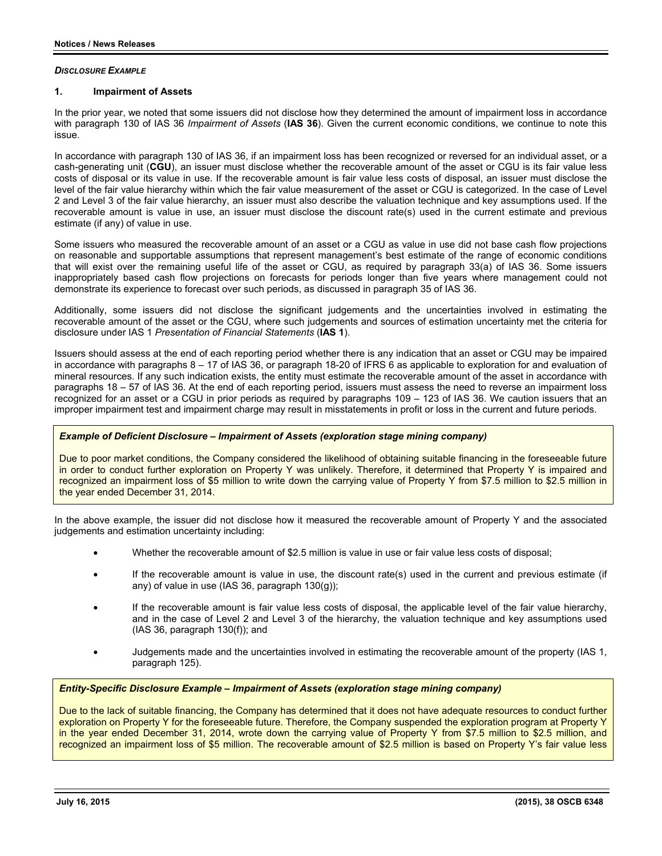#### *DISCLOSURE EXAMPLE*

#### **1. Impairment of Assets**

In the prior year, we noted that some issuers did not disclose how they determined the amount of impairment loss in accordance with paragraph 130 of IAS 36 *Impairment of Assets* (**IAS 36**). Given the current economic conditions, we continue to note this issue.

In accordance with paragraph 130 of IAS 36, if an impairment loss has been recognized or reversed for an individual asset, or a cash-generating unit (**CGU**), an issuer must disclose whether the recoverable amount of the asset or CGU is its fair value less costs of disposal or its value in use. If the recoverable amount is fair value less costs of disposal, an issuer must disclose the level of the fair value hierarchy within which the fair value measurement of the asset or CGU is categorized. In the case of Level 2 and Level 3 of the fair value hierarchy, an issuer must also describe the valuation technique and key assumptions used. If the recoverable amount is value in use, an issuer must disclose the discount rate(s) used in the current estimate and previous estimate (if any) of value in use.

Some issuers who measured the recoverable amount of an asset or a CGU as value in use did not base cash flow projections on reasonable and supportable assumptions that represent management's best estimate of the range of economic conditions that will exist over the remaining useful life of the asset or CGU, as required by paragraph 33(a) of IAS 36. Some issuers inappropriately based cash flow projections on forecasts for periods longer than five years where management could not demonstrate its experience to forecast over such periods, as discussed in paragraph 35 of IAS 36.

Additionally, some issuers did not disclose the significant judgements and the uncertainties involved in estimating the recoverable amount of the asset or the CGU, where such judgements and sources of estimation uncertainty met the criteria for disclosure under IAS 1 *Presentation of Financial Statements* (**IAS 1**).

Issuers should assess at the end of each reporting period whether there is any indication that an asset or CGU may be impaired in accordance with paragraphs 8 – 17 of IAS 36, or paragraph 18-20 of IFRS 6 as applicable to exploration for and evaluation of mineral resources. If any such indication exists, the entity must estimate the recoverable amount of the asset in accordance with paragraphs 18 – 57 of IAS 36. At the end of each reporting period, issuers must assess the need to reverse an impairment loss recognized for an asset or a CGU in prior periods as required by paragraphs 109 – 123 of IAS 36. We caution issuers that an improper impairment test and impairment charge may result in misstatements in profit or loss in the current and future periods.

#### *Example of Deficient Disclosure – Impairment of Assets (exploration stage mining company)*

Due to poor market conditions, the Company considered the likelihood of obtaining suitable financing in the foreseeable future in order to conduct further exploration on Property Y was unlikely. Therefore, it determined that Property Y is impaired and recognized an impairment loss of \$5 million to write down the carrying value of Property Y from \$7.5 million to \$2.5 million in the year ended December 31, 2014.

In the above example, the issuer did not disclose how it measured the recoverable amount of Property Y and the associated judgements and estimation uncertainty including:

- Whether the recoverable amount of \$2.5 million is value in use or fair value less costs of disposal;
- If the recoverable amount is value in use, the discount rate(s) used in the current and previous estimate (if any) of value in use (IAS 36, paragraph 130(g));
- If the recoverable amount is fair value less costs of disposal, the applicable level of the fair value hierarchy, and in the case of Level 2 and Level 3 of the hierarchy, the valuation technique and key assumptions used (IAS 36, paragraph 130(f)); and
- Judgements made and the uncertainties involved in estimating the recoverable amount of the property (IAS 1, paragraph 125).

#### *Entity-Specific Disclosure Example – Impairment of Assets (exploration stage mining company)*

Due to the lack of suitable financing, the Company has determined that it does not have adequate resources to conduct further exploration on Property Y for the foreseeable future. Therefore, the Company suspended the exploration program at Property Y in the year ended December 31, 2014, wrote down the carrying value of Property Y from \$7.5 million to \$2.5 million, and recognized an impairment loss of \$5 million. The recoverable amount of \$2.5 million is based on Property Y's fair value less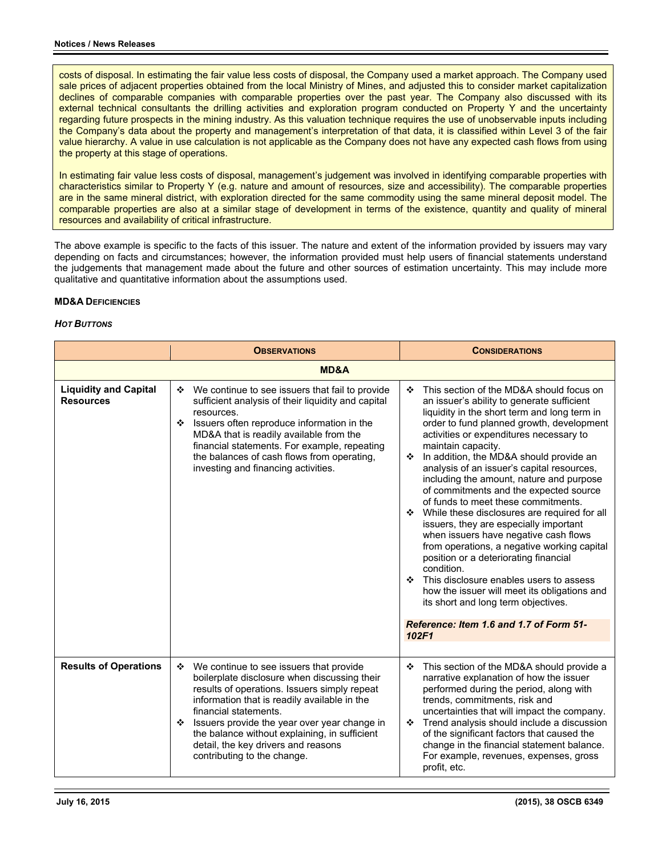costs of disposal. In estimating the fair value less costs of disposal, the Company used a market approach. The Company used sale prices of adjacent properties obtained from the local Ministry of Mines, and adjusted this to consider market capitalization declines of comparable companies with comparable properties over the past year. The Company also discussed with its external technical consultants the drilling activities and exploration program conducted on Property Y and the uncertainty regarding future prospects in the mining industry. As this valuation technique requires the use of unobservable inputs including the Company's data about the property and management's interpretation of that data, it is classified within Level 3 of the fair value hierarchy. A value in use calculation is not applicable as the Company does not have any expected cash flows from using the property at this stage of operations.

In estimating fair value less costs of disposal, management's judgement was involved in identifying comparable properties with characteristics similar to Property Y (e.g. nature and amount of resources, size and accessibility). The comparable properties are in the same mineral district, with exploration directed for the same commodity using the same mineral deposit model. The comparable properties are also at a similar stage of development in terms of the existence, quantity and quality of mineral resources and availability of critical infrastructure.

The above example is specific to the facts of this issuer. The nature and extent of the information provided by issuers may vary depending on facts and circumstances; however, the information provided must help users of financial statements understand the judgements that management made about the future and other sources of estimation uncertainty. This may include more qualitative and quantitative information about the assumptions used.

#### **MD&A DEFICIENCIES**

#### *HOT BUTTONS*

|                                                  | <b>OBSERVATIONS</b>                                                                                                                                                                                                                                                                                                                                                                               | <b>CONSIDERATIONS</b>                                                                                                                                                                                                                                                                                                                                                                                                                                                                                                                                                                                                                                                                                                                                                                                                                                                     |
|--------------------------------------------------|---------------------------------------------------------------------------------------------------------------------------------------------------------------------------------------------------------------------------------------------------------------------------------------------------------------------------------------------------------------------------------------------------|---------------------------------------------------------------------------------------------------------------------------------------------------------------------------------------------------------------------------------------------------------------------------------------------------------------------------------------------------------------------------------------------------------------------------------------------------------------------------------------------------------------------------------------------------------------------------------------------------------------------------------------------------------------------------------------------------------------------------------------------------------------------------------------------------------------------------------------------------------------------------|
| <b>MD&amp;A</b>                                  |                                                                                                                                                                                                                                                                                                                                                                                                   |                                                                                                                                                                                                                                                                                                                                                                                                                                                                                                                                                                                                                                                                                                                                                                                                                                                                           |
| <b>Liquidity and Capital</b><br><b>Resources</b> | We continue to see issuers that fail to provide<br>❖<br>sufficient analysis of their liquidity and capital<br>resources.<br>Issuers often reproduce information in the<br>❖<br>MD&A that is readily available from the<br>financial statements. For example, repeating<br>the balances of cash flows from operating,<br>investing and financing activities.                                       | This section of the MD&A should focus on<br>❖<br>an issuer's ability to generate sufficient<br>liquidity in the short term and long term in<br>order to fund planned growth, development<br>activities or expenditures necessary to<br>maintain capacity.<br>In addition, the MD&A should provide an<br>❖<br>analysis of an issuer's capital resources,<br>including the amount, nature and purpose<br>of commitments and the expected source<br>of funds to meet these commitments.<br>While these disclosures are required for all<br>❖<br>issuers, they are especially important<br>when issuers have negative cash flows<br>from operations, a negative working capital<br>position or a deteriorating financial<br>condition.<br>This disclosure enables users to assess<br>÷<br>how the issuer will meet its obligations and<br>its short and long term objectives. |
|                                                  |                                                                                                                                                                                                                                                                                                                                                                                                   | Reference: Item 1.6 and 1.7 of Form 51-<br>102F1                                                                                                                                                                                                                                                                                                                                                                                                                                                                                                                                                                                                                                                                                                                                                                                                                          |
|                                                  |                                                                                                                                                                                                                                                                                                                                                                                                   |                                                                                                                                                                                                                                                                                                                                                                                                                                                                                                                                                                                                                                                                                                                                                                                                                                                                           |
| <b>Results of Operations</b>                     | We continue to see issuers that provide<br>❖<br>boilerplate disclosure when discussing their<br>results of operations. Issuers simply repeat<br>information that is readily available in the<br>financial statements.<br>Issuers provide the year over year change in<br>❖<br>the balance without explaining, in sufficient<br>detail, the key drivers and reasons<br>contributing to the change. | This section of the MD&A should provide a<br>❖<br>narrative explanation of how the issuer<br>performed during the period, along with<br>trends, commitments, risk and<br>uncertainties that will impact the company.<br>Trend analysis should include a discussion<br>❖<br>of the significant factors that caused the<br>change in the financial statement balance.<br>For example, revenues, expenses, gross<br>profit, etc.                                                                                                                                                                                                                                                                                                                                                                                                                                             |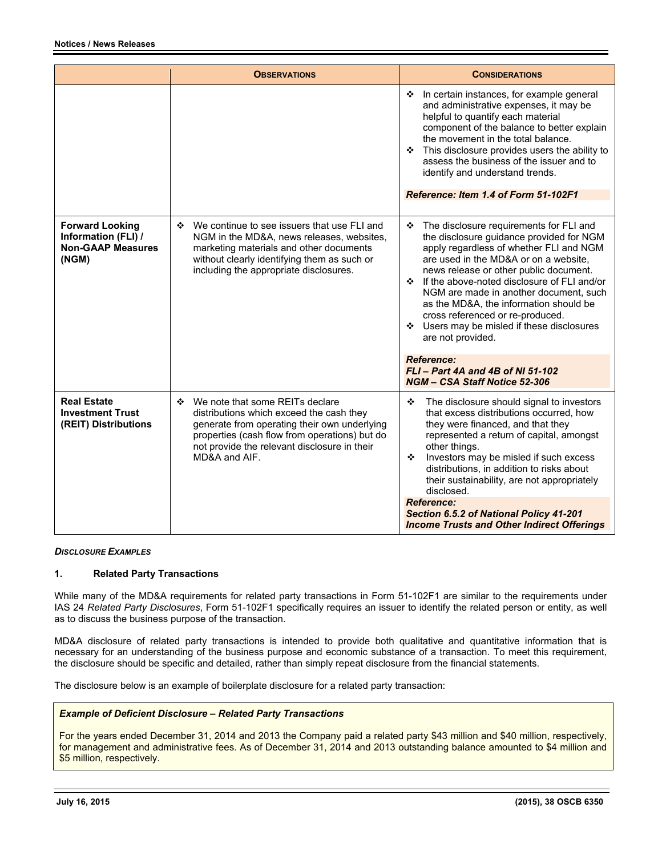|                                                                                    | <b>OBSERVATIONS</b>                                                                                                                                                                                                                                | <b>CONSIDERATIONS</b>                                                                                                                                                                                                                                                                                                                                                                                                                                                     |
|------------------------------------------------------------------------------------|----------------------------------------------------------------------------------------------------------------------------------------------------------------------------------------------------------------------------------------------------|---------------------------------------------------------------------------------------------------------------------------------------------------------------------------------------------------------------------------------------------------------------------------------------------------------------------------------------------------------------------------------------------------------------------------------------------------------------------------|
|                                                                                    |                                                                                                                                                                                                                                                    | In certain instances, for example general<br>❖<br>and administrative expenses, it may be<br>helpful to quantify each material<br>component of the balance to better explain<br>the movement in the total balance.<br>This disclosure provides users the ability to<br>❖<br>assess the business of the issuer and to<br>identify and understand trends.<br>Reference: Item 1.4 of Form 51-102F1                                                                            |
| <b>Forward Looking</b><br>Information (FLI) /<br><b>Non-GAAP Measures</b><br>(NGM) | ❖ We continue to see issuers that use FLI and<br>NGM in the MD&A, news releases, websites,<br>marketing materials and other documents<br>without clearly identifying them as such or<br>including the appropriate disclosures.                     | The disclosure requirements for FLI and<br>❖<br>the disclosure guidance provided for NGM<br>apply regardless of whether FLI and NGM<br>are used in the MD&A or on a website.<br>news release or other public document.<br>❖ If the above-noted disclosure of FLI and/or<br>NGM are made in another document, such<br>as the MD&A, the information should be<br>cross referenced or re-produced.<br>Users may be misled if these disclosures<br>❖<br>are not provided.     |
|                                                                                    |                                                                                                                                                                                                                                                    | <b>Reference:</b><br>FLI-Part 4A and 4B of NI 51-102<br>NGM - CSA Staff Notice 52-306                                                                                                                                                                                                                                                                                                                                                                                     |
| <b>Real Estate</b><br><b>Investment Trust</b><br>(REIT) Distributions              | We note that some REITs declare<br>❖<br>distributions which exceed the cash they<br>generate from operating their own underlying<br>properties (cash flow from operations) but do<br>not provide the relevant disclosure in their<br>MD&A and AIF. | ❖<br>The disclosure should signal to investors<br>that excess distributions occurred, how<br>they were financed, and that they<br>represented a return of capital, amongst<br>other things.<br>Investors may be misled if such excess<br>❖<br>distributions, in addition to risks about<br>their sustainability, are not appropriately<br>disclosed.<br><b>Reference:</b><br>Section 6.5.2 of National Policy 41-201<br><b>Income Trusts and Other Indirect Offerings</b> |

#### *DISCLOSURE EXAMPLES*

#### **1. Related Party Transactions**

While many of the MD&A requirements for related party transactions in Form 51-102F1 are similar to the requirements under IAS 24 *Related Party Disclosures*, Form 51-102F1 specifically requires an issuer to identify the related person or entity, as well as to discuss the business purpose of the transaction.

MD&A disclosure of related party transactions is intended to provide both qualitative and quantitative information that is necessary for an understanding of the business purpose and economic substance of a transaction. To meet this requirement, the disclosure should be specific and detailed, rather than simply repeat disclosure from the financial statements.

The disclosure below is an example of boilerplate disclosure for a related party transaction:

#### *Example of Deficient Disclosure – Related Party Transactions*

For the years ended December 31, 2014 and 2013 the Company paid a related party \$43 million and \$40 million, respectively, for management and administrative fees. As of December 31, 2014 and 2013 outstanding balance amounted to \$4 million and \$5 million, respectively.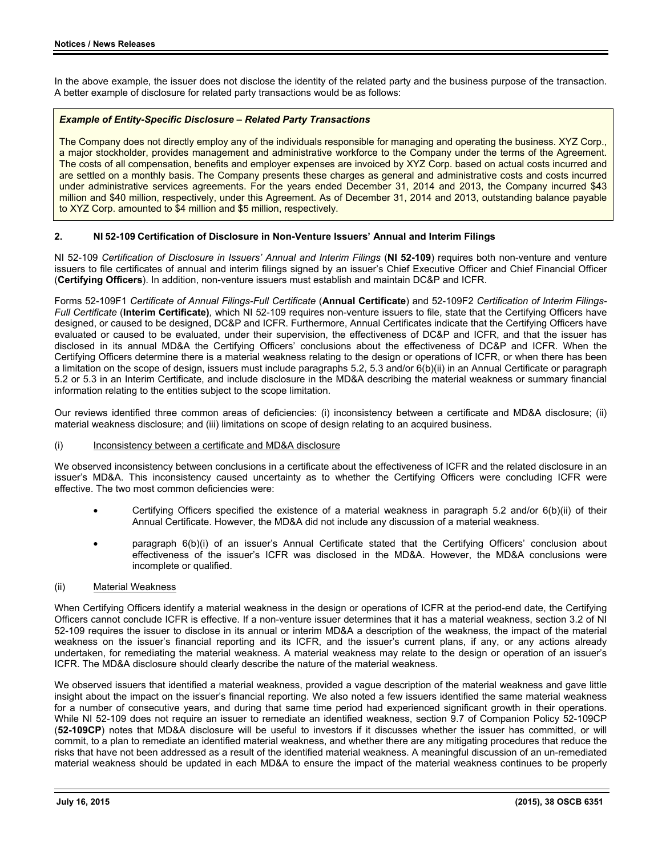In the above example, the issuer does not disclose the identity of the related party and the business purpose of the transaction. A better example of disclosure for related party transactions would be as follows:

#### *Example of Entity-Specific Disclosure – Related Party Transactions*

The Company does not directly employ any of the individuals responsible for managing and operating the business. XYZ Corp., a major stockholder, provides management and administrative workforce to the Company under the terms of the Agreement. The costs of all compensation, benefits and employer expenses are invoiced by XYZ Corp. based on actual costs incurred and are settled on a monthly basis. The Company presents these charges as general and administrative costs and costs incurred under administrative services agreements. For the years ended December 31, 2014 and 2013, the Company incurred \$43 million and \$40 million, respectively, under this Agreement. As of December 31, 2014 and 2013, outstanding balance payable to XYZ Corp. amounted to \$4 million and \$5 million, respectively.

#### **2. NI 52-109 Certification of Disclosure in Non-Venture Issuers' Annual and Interim Filings**

NI 52-109 *Certification of Disclosure in Issuers' Annual and Interim Filings* (**NI 52-109**) requires both non-venture and venture issuers to file certificates of annual and interim filings signed by an issuer's Chief Executive Officer and Chief Financial Officer (**Certifying Officers**). In addition, non-venture issuers must establish and maintain DC&P and ICFR.

Forms 52-109F1 *Certificate of Annual Filings-Full Certificate* (**Annual Certificate**) and 52-109F2 *Certification of Interim Filings-Full Certificate* (**Interim Certificate)***,* which NI 52-109 requires non-venture issuers to file, state that the Certifying Officers have designed, or caused to be designed, DC&P and ICFR. Furthermore, Annual Certificates indicate that the Certifying Officers have evaluated or caused to be evaluated, under their supervision, the effectiveness of DC&P and ICFR, and that the issuer has disclosed in its annual MD&A the Certifying Officers' conclusions about the effectiveness of DC&P and ICFR. When the Certifying Officers determine there is a material weakness relating to the design or operations of ICFR, or when there has been a limitation on the scope of design, issuers must include paragraphs 5.2, 5.3 and/or 6(b)(ii) in an Annual Certificate or paragraph 5.2 or 5.3 in an Interim Certificate, and include disclosure in the MD&A describing the material weakness or summary financial information relating to the entities subject to the scope limitation.

Our reviews identified three common areas of deficiencies: (i) inconsistency between a certificate and MD&A disclosure; (ii) material weakness disclosure; and (iii) limitations on scope of design relating to an acquired business.

#### (i) Inconsistency between a certificate and MD&A disclosure

We observed inconsistency between conclusions in a certificate about the effectiveness of ICFR and the related disclosure in an issuer's MD&A. This inconsistency caused uncertainty as to whether the Certifying Officers were concluding ICFR were effective. The two most common deficiencies were:

- Certifying Officers specified the existence of a material weakness in paragraph 5.2 and/or 6(b)(ii) of their Annual Certificate. However, the MD&A did not include any discussion of a material weakness.
- paragraph 6(b)(i) of an issuer's Annual Certificate stated that the Certifying Officers' conclusion about effectiveness of the issuer's ICFR was disclosed in the MD&A. However, the MD&A conclusions were incomplete or qualified.

#### (ii) Material Weakness

When Certifying Officers identify a material weakness in the design or operations of ICFR at the period-end date, the Certifying Officers cannot conclude ICFR is effective. If a non-venture issuer determines that it has a material weakness, section 3.2 of NI 52-109 requires the issuer to disclose in its annual or interim MD&A a description of the weakness, the impact of the material weakness on the issuer's financial reporting and its ICFR, and the issuer's current plans, if any, or any actions already undertaken, for remediating the material weakness. A material weakness may relate to the design or operation of an issuer's ICFR. The MD&A disclosure should clearly describe the nature of the material weakness.

We observed issuers that identified a material weakness, provided a vague description of the material weakness and gave little insight about the impact on the issuer's financial reporting. We also noted a few issuers identified the same material weakness for a number of consecutive years, and during that same time period had experienced significant growth in their operations. While NI 52-109 does not require an issuer to remediate an identified weakness, section 9.7 of Companion Policy 52-109CP (**52-109CP**) notes that MD&A disclosure will be useful to investors if it discusses whether the issuer has committed, or will commit, to a plan to remediate an identified material weakness, and whether there are any mitigating procedures that reduce the risks that have not been addressed as a result of the identified material weakness. A meaningful discussion of an un-remediated material weakness should be updated in each MD&A to ensure the impact of the material weakness continues to be properly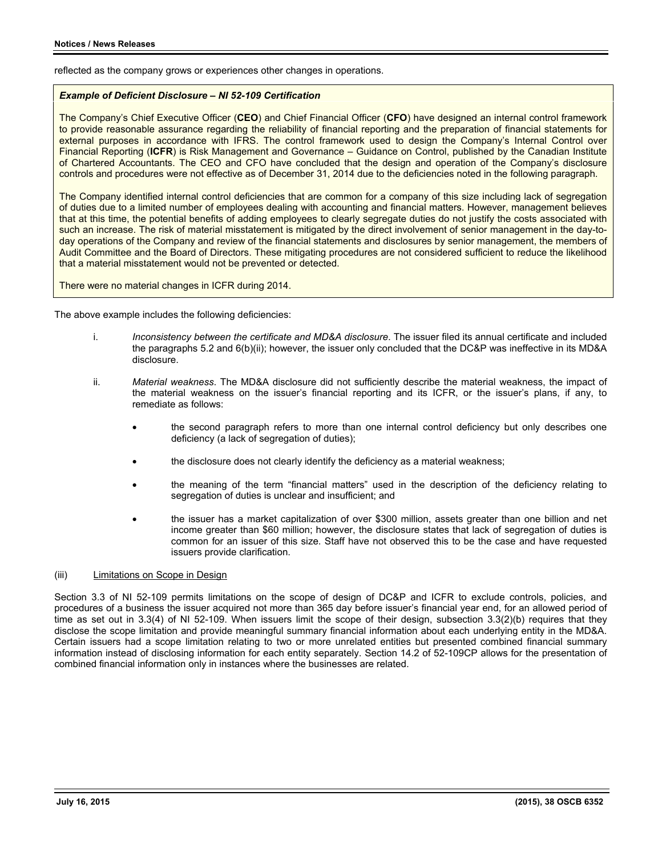reflected as the company grows or experiences other changes in operations.

#### *Example of Deficient Disclosure – NI 52-109 Certification*

The Company's Chief Executive Officer (**CEO**) and Chief Financial Officer (**CFO**) have designed an internal control framework to provide reasonable assurance regarding the reliability of financial reporting and the preparation of financial statements for external purposes in accordance with IFRS. The control framework used to design the Company's Internal Control over Financial Reporting (**ICFR**) is Risk Management and Governance – Guidance on Control, published by the Canadian Institute of Chartered Accountants. The CEO and CFO have concluded that the design and operation of the Company's disclosure controls and procedures were not effective as of December 31, 2014 due to the deficiencies noted in the following paragraph.

The Company identified internal control deficiencies that are common for a company of this size including lack of segregation of duties due to a limited number of employees dealing with accounting and financial matters. However, management believes that at this time, the potential benefits of adding employees to clearly segregate duties do not justify the costs associated with such an increase. The risk of material misstatement is mitigated by the direct involvement of senior management in the day-today operations of the Company and review of the financial statements and disclosures by senior management, the members of Audit Committee and the Board of Directors. These mitigating procedures are not considered sufficient to reduce the likelihood that a material misstatement would not be prevented or detected.

There were no material changes in ICFR during 2014.

The above example includes the following deficiencies:

- i. *Inconsistency between the certificate and MD&A disclosure*. The issuer filed its annual certificate and included the paragraphs 5.2 and 6(b)(ii); however, the issuer only concluded that the DC&P was ineffective in its MD&A disclosure.
- ii. *Material weakness*. The MD&A disclosure did not sufficiently describe the material weakness, the impact of the material weakness on the issuer's financial reporting and its ICFR, or the issuer's plans, if any, to remediate as follows:
	- the second paragraph refers to more than one internal control deficiency but only describes one deficiency (a lack of segregation of duties);
	- the disclosure does not clearly identify the deficiency as a material weakness;
	- the meaning of the term "financial matters" used in the description of the deficiency relating to segregation of duties is unclear and insufficient; and
	- the issuer has a market capitalization of over \$300 million, assets greater than one billion and net income greater than \$60 million; however, the disclosure states that lack of segregation of duties is common for an issuer of this size. Staff have not observed this to be the case and have requested issuers provide clarification.

#### (iii) Limitations on Scope in Design

Section 3.3 of NI 52-109 permits limitations on the scope of design of DC&P and ICFR to exclude controls, policies, and procedures of a business the issuer acquired not more than 365 day before issuer's financial year end, for an allowed period of time as set out in 3.3(4) of NI 52-109. When issuers limit the scope of their design, subsection 3.3(2)(b) requires that they disclose the scope limitation and provide meaningful summary financial information about each underlying entity in the MD&A. Certain issuers had a scope limitation relating to two or more unrelated entities but presented combined financial summary information instead of disclosing information for each entity separately. Section 14.2 of 52-109CP allows for the presentation of combined financial information only in instances where the businesses are related.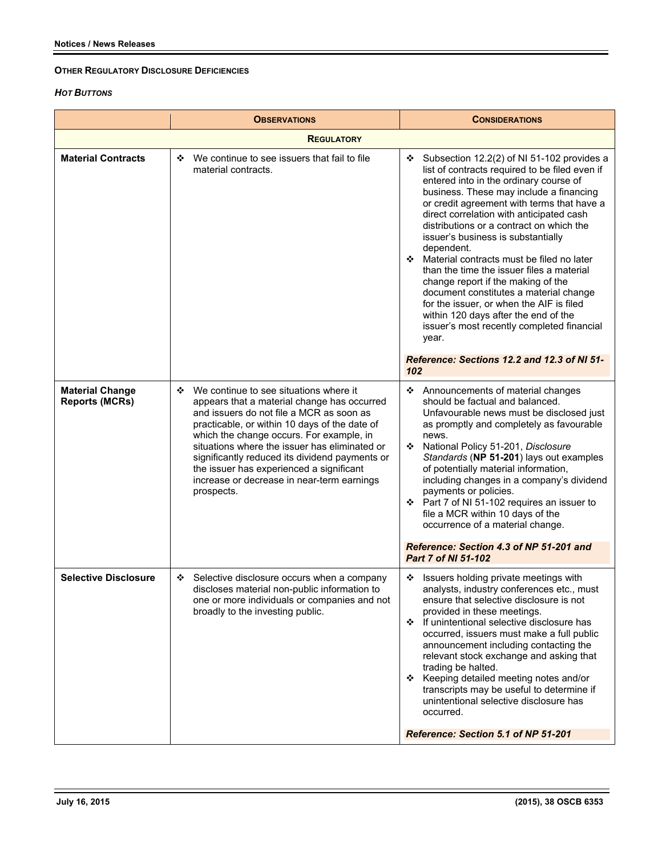# **OTHER REGULATORY DISCLOSURE DEFICIENCIES**

# *HOT BUTTONS*

|                                                 | <b>OBSERVATIONS</b>                                                                                                                                                                                                                                                                                                                                                                                                                            | <b>CONSIDERATIONS</b>                                                                                                                                                                                                                                                                                                                                                                                                                                                                                                                                                                                                                                                                                      |  |
|-------------------------------------------------|------------------------------------------------------------------------------------------------------------------------------------------------------------------------------------------------------------------------------------------------------------------------------------------------------------------------------------------------------------------------------------------------------------------------------------------------|------------------------------------------------------------------------------------------------------------------------------------------------------------------------------------------------------------------------------------------------------------------------------------------------------------------------------------------------------------------------------------------------------------------------------------------------------------------------------------------------------------------------------------------------------------------------------------------------------------------------------------------------------------------------------------------------------------|--|
| <b>REGULATORY</b>                               |                                                                                                                                                                                                                                                                                                                                                                                                                                                |                                                                                                                                                                                                                                                                                                                                                                                                                                                                                                                                                                                                                                                                                                            |  |
| <b>Material Contracts</b>                       | We continue to see issuers that fail to file<br>❖<br>material contracts.                                                                                                                                                                                                                                                                                                                                                                       | Subsection 12.2(2) of NI 51-102 provides a<br>❖<br>list of contracts required to be filed even if<br>entered into in the ordinary course of<br>business. These may include a financing<br>or credit agreement with terms that have a<br>direct correlation with anticipated cash<br>distributions or a contract on which the<br>issuer's business is substantially<br>dependent.<br>Material contracts must be filed no later<br>❖<br>than the time the issuer files a material<br>change report if the making of the<br>document constitutes a material change<br>for the issuer, or when the AIF is filed<br>within 120 days after the end of the<br>issuer's most recently completed financial<br>year. |  |
|                                                 |                                                                                                                                                                                                                                                                                                                                                                                                                                                | Reference: Sections 12.2 and 12.3 of NI 51-<br>102                                                                                                                                                                                                                                                                                                                                                                                                                                                                                                                                                                                                                                                         |  |
| <b>Material Change</b><br><b>Reports (MCRs)</b> | ❖<br>We continue to see situations where it<br>appears that a material change has occurred<br>and issuers do not file a MCR as soon as<br>practicable, or within 10 days of the date of<br>which the change occurs. For example, in<br>situations where the issuer has eliminated or<br>significantly reduced its dividend payments or<br>the issuer has experienced a significant<br>increase or decrease in near-term earnings<br>prospects. | Announcements of material changes<br>❖<br>should be factual and balanced.<br>Unfavourable news must be disclosed just<br>as promptly and completely as favourable<br>news.<br>National Policy 51-201, Disclosure<br>❖<br>Standards (NP 51-201) lays out examples<br>of potentially material information,<br>including changes in a company's dividend<br>payments or policies.<br>❖ Part 7 of NI 51-102 requires an issuer to<br>file a MCR within 10 days of the<br>occurrence of a material change.                                                                                                                                                                                                      |  |
|                                                 |                                                                                                                                                                                                                                                                                                                                                                                                                                                | Reference: Section 4.3 of NP 51-201 and<br>Part 7 of NI 51-102                                                                                                                                                                                                                                                                                                                                                                                                                                                                                                                                                                                                                                             |  |
| <b>Selective Disclosure</b>                     | Selective disclosure occurs when a company<br>❖<br>discloses material non-public information to<br>one or more individuals or companies and not<br>broadly to the investing public.                                                                                                                                                                                                                                                            | Issuers holding private meetings with<br>❖<br>analysts, industry conferences etc., must<br>ensure that selective disclosure is not<br>provided in these meetings.<br>❖ If unintentional selective disclosure has<br>occurred, issuers must make a full public<br>announcement including contacting the<br>relevant stock exchange and asking that<br>trading be halted.<br>* Keeping detailed meeting notes and/or<br>transcripts may be useful to determine if<br>unintentional selective disclosure has<br>occurred.                                                                                                                                                                                     |  |
|                                                 |                                                                                                                                                                                                                                                                                                                                                                                                                                                | Reference: Section 5.1 of NP 51-201                                                                                                                                                                                                                                                                                                                                                                                                                                                                                                                                                                                                                                                                        |  |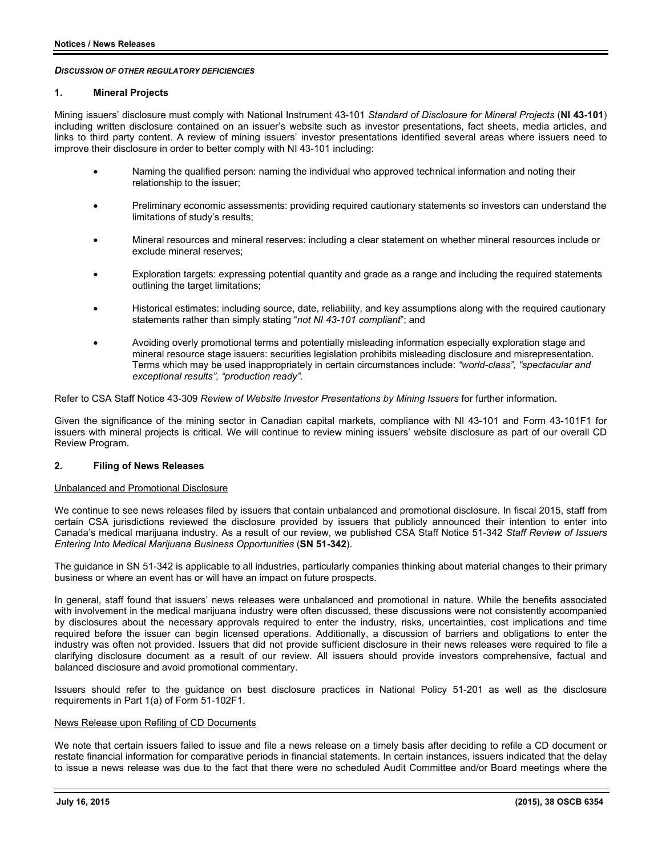#### *DISCUSSION OF OTHER REGULATORY DEFICIENCIES*

#### **1. Mineral Projects**

Mining issuers' disclosure must comply with National Instrument 43-101 *Standard of Disclosure for Mineral Projects* (**NI 43-101**) including written disclosure contained on an issuer's website such as investor presentations, fact sheets, media articles, and links to third party content. A review of mining issuers' investor presentations identified several areas where issuers need to improve their disclosure in order to better comply with NI 43-101 including:

- Naming the qualified person: naming the individual who approved technical information and noting their relationship to the issuer;
- Preliminary economic assessments: providing required cautionary statements so investors can understand the limitations of study's results;
- Mineral resources and mineral reserves: including a clear statement on whether mineral resources include or exclude mineral reserves;
- Exploration targets: expressing potential quantity and grade as a range and including the required statements outlining the target limitations;
- Historical estimates: including source, date, reliability, and key assumptions along with the required cautionary statements rather than simply stating "*not NI 43-101 compliant*"; and
- Avoiding overly promotional terms and potentially misleading information especially exploration stage and mineral resource stage issuers: securities legislation prohibits misleading disclosure and misrepresentation. Terms which may be used inappropriately in certain circumstances include: *"world-class", "spectacular and exceptional results", "production ready"*.

Refer to CSA Staff Notice 43-309 *Review of Website Investor Presentations by Mining Issuers* for further information.

Given the significance of the mining sector in Canadian capital markets, compliance with NI 43-101 and Form 43-101F1 for issuers with mineral projects is critical. We will continue to review mining issuers' website disclosure as part of our overall CD Review Program.

#### **2. Filing of News Releases**

#### Unbalanced and Promotional Disclosure

We continue to see news releases filed by issuers that contain unbalanced and promotional disclosure. In fiscal 2015, staff from certain CSA jurisdictions reviewed the disclosure provided by issuers that publicly announced their intention to enter into Canada's medical marijuana industry. As a result of our review, we published CSA Staff Notice 51-342 *Staff Review of Issuers Entering Into Medical Marijuana Business Opportunities* (**SN 51-342**).

The guidance in SN 51-342 is applicable to all industries, particularly companies thinking about material changes to their primary business or where an event has or will have an impact on future prospects.

In general, staff found that issuers' news releases were unbalanced and promotional in nature. While the benefits associated with involvement in the medical marijuana industry were often discussed, these discussions were not consistently accompanied by disclosures about the necessary approvals required to enter the industry, risks, uncertainties, cost implications and time required before the issuer can begin licensed operations. Additionally, a discussion of barriers and obligations to enter the industry was often not provided. Issuers that did not provide sufficient disclosure in their news releases were required to file a clarifying disclosure document as a result of our review. All issuers should provide investors comprehensive, factual and balanced disclosure and avoid promotional commentary.

Issuers should refer to the guidance on best disclosure practices in National Policy 51-201 as well as the disclosure requirements in Part 1(a) of Form 51-102F1.

#### News Release upon Refiling of CD Documents

We note that certain issuers failed to issue and file a news release on a timely basis after deciding to refile a CD document or restate financial information for comparative periods in financial statements. In certain instances, issuers indicated that the delay to issue a news release was due to the fact that there were no scheduled Audit Committee and/or Board meetings where the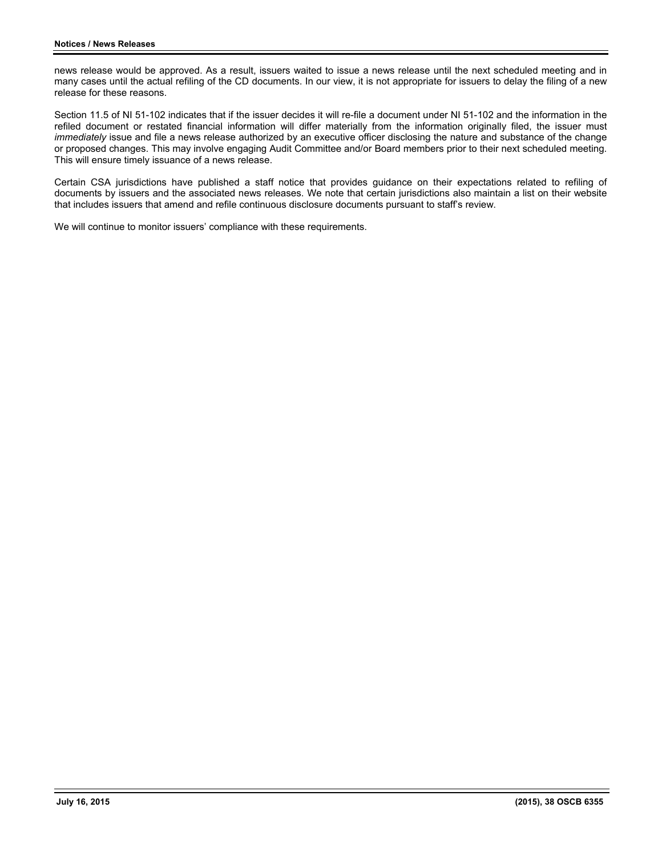news release would be approved. As a result, issuers waited to issue a news release until the next scheduled meeting and in many cases until the actual refiling of the CD documents. In our view, it is not appropriate for issuers to delay the filing of a new release for these reasons.

Section 11.5 of NI 51-102 indicates that if the issuer decides it will re-file a document under NI 51-102 and the information in the refiled document or restated financial information will differ materially from the information originally filed, the issuer must *immediately* issue and file a news release authorized by an executive officer disclosing the nature and substance of the change or proposed changes. This may involve engaging Audit Committee and/or Board members prior to their next scheduled meeting. This will ensure timely issuance of a news release.

Certain CSA jurisdictions have published a staff notice that provides guidance on their expectations related to refiling of documents by issuers and the associated news releases. We note that certain jurisdictions also maintain a list on their website that includes issuers that amend and refile continuous disclosure documents pursuant to staff's review.

We will continue to monitor issuers' compliance with these requirements.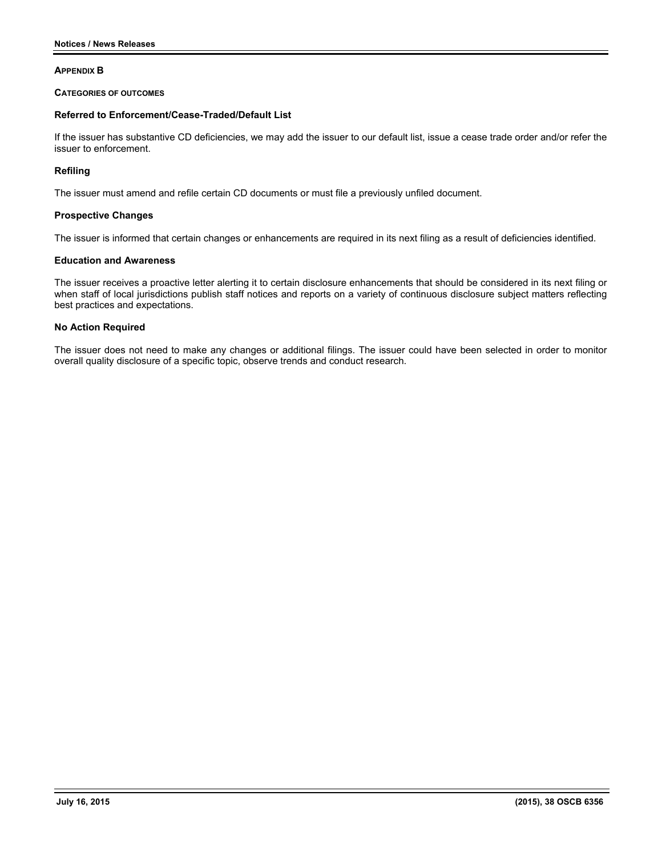#### **APPENDIX B**

#### **CATEGORIES OF OUTCOMES**

# **Referred to Enforcement/Cease-Traded/Default List**

If the issuer has substantive CD deficiencies, we may add the issuer to our default list, issue a cease trade order and/or refer the issuer to enforcement.

#### **Refiling**

The issuer must amend and refile certain CD documents or must file a previously unfiled document.

#### **Prospective Changes**

The issuer is informed that certain changes or enhancements are required in its next filing as a result of deficiencies identified.

# **Education and Awareness**

The issuer receives a proactive letter alerting it to certain disclosure enhancements that should be considered in its next filing or when staff of local jurisdictions publish staff notices and reports on a variety of continuous disclosure subject matters reflecting best practices and expectations.

#### **No Action Required**

The issuer does not need to make any changes or additional filings. The issuer could have been selected in order to monitor overall quality disclosure of a specific topic, observe trends and conduct research.